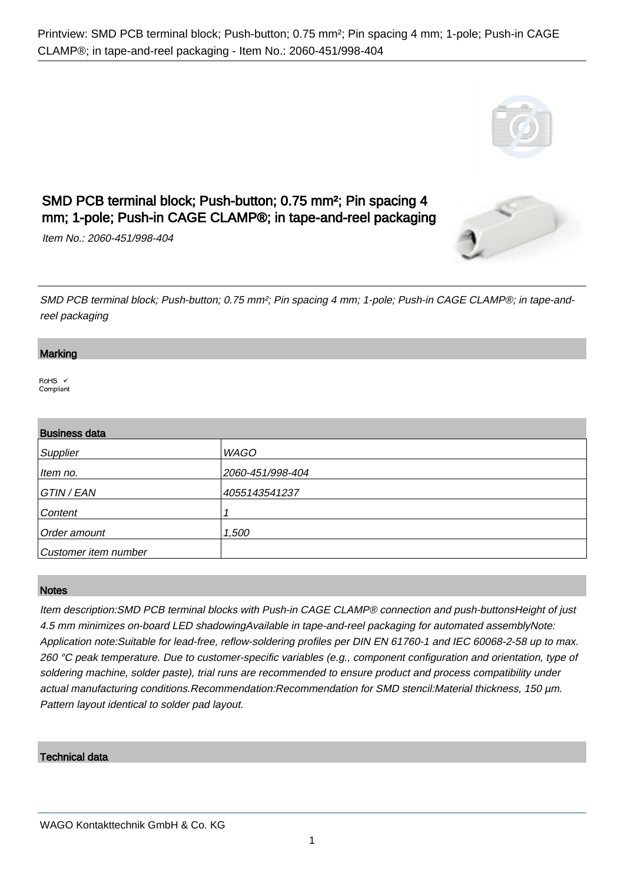

# SMD PCB terminal block; Push-button; 0.75 mm²; Pin spacing 4 mm; 1-pole; Push-in CAGE CLAMP®; in tape-and-reel packaging

Item No.: 2060-451/998-404

SMD PCB terminal block; Push-button; 0.75 mm<sup>2</sup>; Pin spacing 4 mm; 1-pole; Push-in CAGE CLAMP®; in tape-andreel packaging

## **Marking**

.

.

 $RoHS$   $\checkmark$ Compliant

| <b>Business data</b> |                  |
|----------------------|------------------|
| Supplier             | <b>WAGO</b>      |
| Item no.             | 2060-451/998-404 |
| GTIN / EAN           | 4055143541237    |
| Content              |                  |
| Order amount         | 1,500            |
| Customer item number |                  |

#### **Notes**

.

Item description:SMD PCB terminal blocks with Push-in CAGE CLAMP® connection and push-buttonsHeight of just 4.5 mm minimizes on-board LED shadowingAvailable in tape-and-reel packaging for automated assemblyNote: Application note:Suitable for lead-free, reflow-soldering profiles per DIN EN 61760-1 and IEC 60068-2-58 up to max. 260 °C peak temperature. Due to customer-specific variables (e.g., component configuration and orientation, type of soldering machine, solder paste), trial runs are recommended to ensure product and process compatibility under actual manufacturing conditions.Recommendation:Recommendation for SMD stencil:Material thickness, 150 µm. Pattern layout identical to solder pad layout.

# Technical data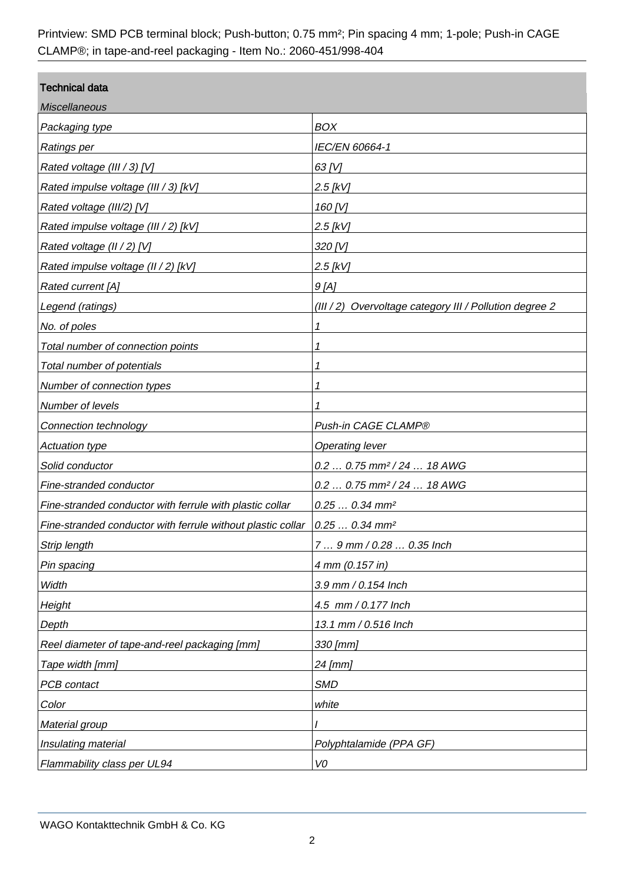| <b>Technical data</b>                                       |                                                         |
|-------------------------------------------------------------|---------------------------------------------------------|
| Miscellaneous                                               |                                                         |
| Packaging type                                              | <b>BOX</b>                                              |
| Ratings per                                                 | IEC/EN 60664-1                                          |
| Rated voltage (III / 3) [V]                                 | 63 [V]                                                  |
| Rated impulse voltage (III / 3) [kV]                        | $2.5$ [kV]                                              |
| Rated voltage (III/2) [V]                                   | 160 [V]                                                 |
| Rated impulse voltage (III / 2) [kV]                        | $2.5$ [kV]                                              |
| Rated voltage (II / 2) [V]                                  | 320 [V]                                                 |
| Rated impulse voltage (II / 2) [kV]                         | $2.5$ [kV]                                              |
| Rated current [A]                                           | 9[A]                                                    |
| Legend (ratings)                                            | (III / 2) Overvoltage category III / Pollution degree 2 |
| No. of poles                                                | 1                                                       |
| Total number of connection points                           | 1                                                       |
| Total number of potentials                                  | 1                                                       |
| Number of connection types                                  | 1                                                       |
| Number of levels                                            | 1                                                       |
| Connection technology                                       | Push-in CAGE CLAMP®                                     |
| <b>Actuation type</b>                                       | <b>Operating lever</b>                                  |
| Solid conductor                                             | $0.20.75$ mm <sup>2</sup> / 24  18 AWG                  |
| Fine-stranded conductor                                     | 0.2  0.75 mm <sup>2</sup> / 24  18 AWG                  |
| Fine-stranded conductor with ferrule with plastic collar    | $0.250.34$ mm <sup>2</sup>                              |
| Fine-stranded conductor with ferrule without plastic collar | $0.250.34$ mm <sup>2</sup>                              |
| Strip length                                                | 7  9 mm / 0.28  0.35 lnch                               |
| Pin spacing                                                 | 4 mm (0.157 in)                                         |
| Width                                                       | 3.9 mm / 0.154 Inch                                     |
| Height                                                      | 4.5 mm / 0.177 Inch                                     |
| Depth                                                       | 13.1 mm / 0.516 Inch                                    |
| Reel diameter of tape-and-reel packaging [mm]               | 330 [mm]                                                |
| Tape width [mm]                                             | 24 [mm]                                                 |
| PCB contact                                                 | <b>SMD</b>                                              |
| Color                                                       | white                                                   |
| Material group                                              |                                                         |
| Insulating material                                         | Polyphtalamide (PPA GF)                                 |
| Flammability class per UL94                                 | V0                                                      |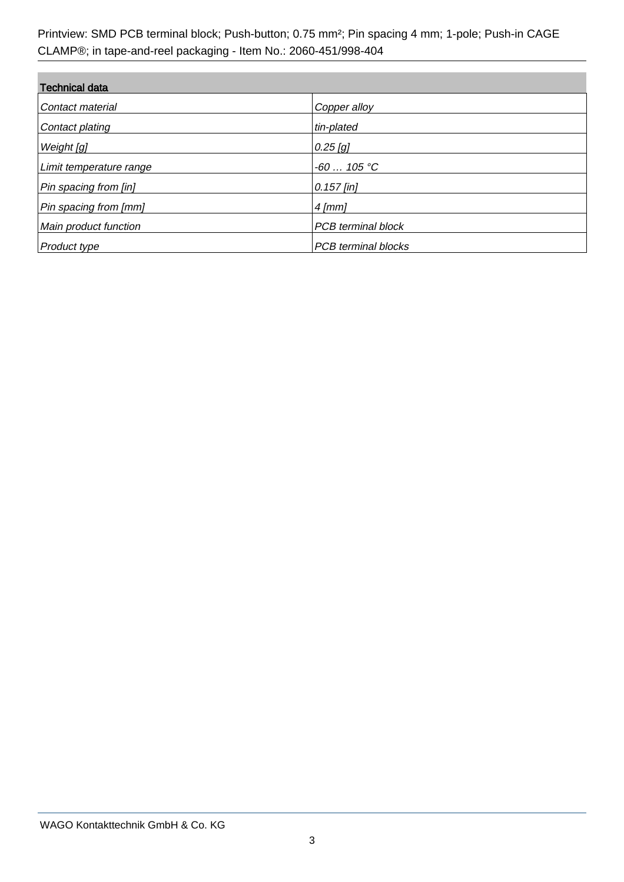| <b>Technical data</b>   |                            |  |
|-------------------------|----------------------------|--|
| Contact material        | Copper alloy               |  |
| Contact plating         | tin-plated                 |  |
| Weight [g]              | $0.25$ [g]                 |  |
| Limit temperature range | $-60105 °C$                |  |
| Pin spacing from [in]   | $0.157$ [in]               |  |
| Pin spacing from [mm]   | $4$ [mm]                   |  |
| Main product function   | PCB terminal block         |  |
| Product type            | <b>PCB</b> terminal blocks |  |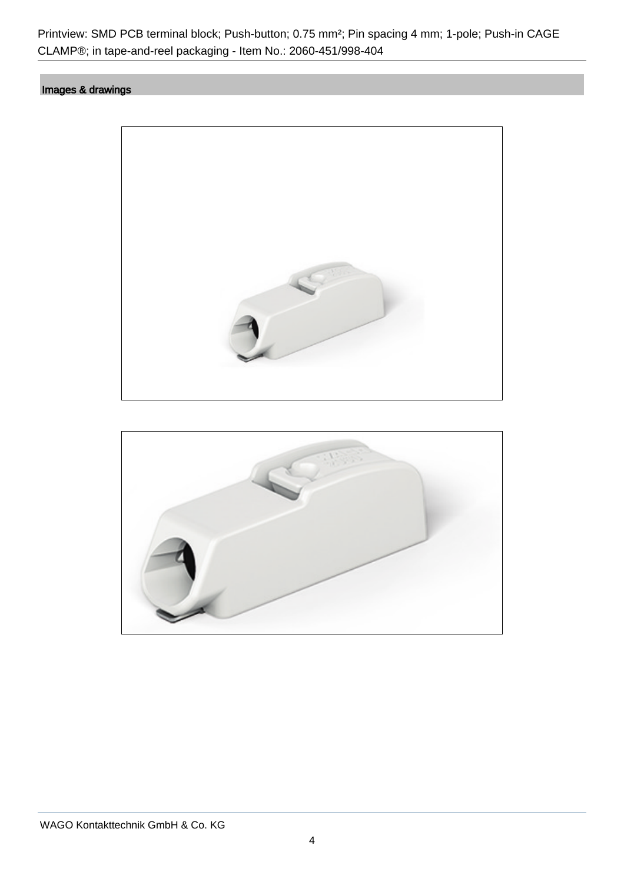# Images & drawings



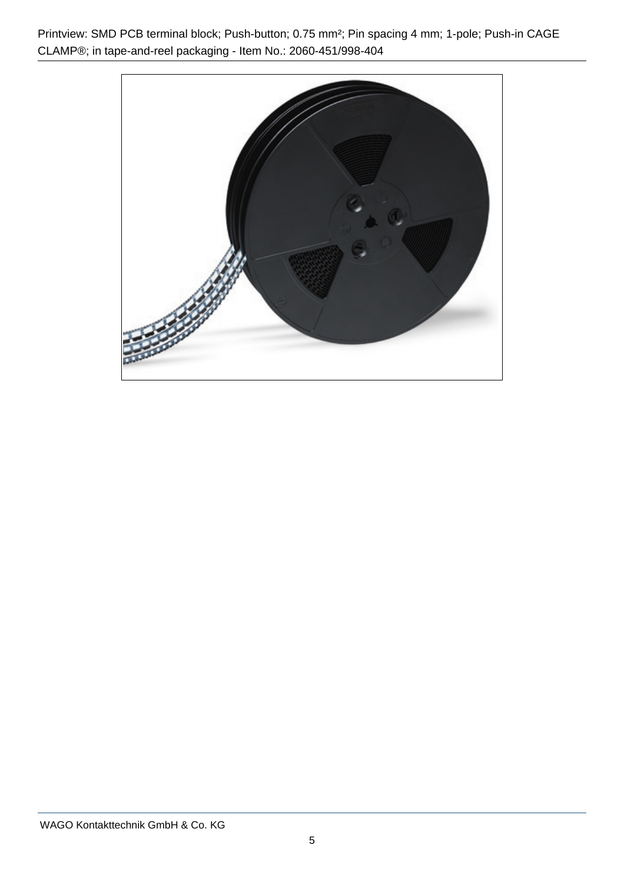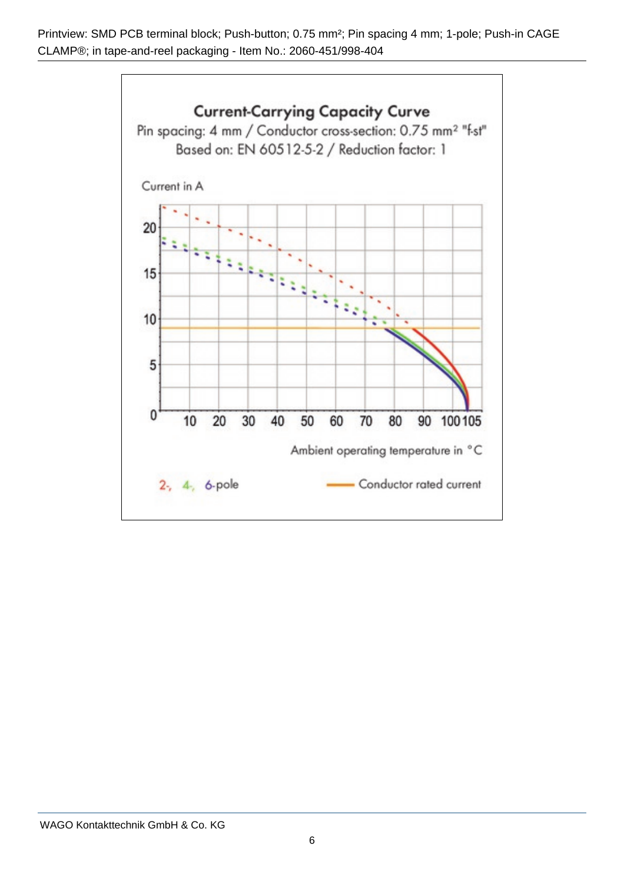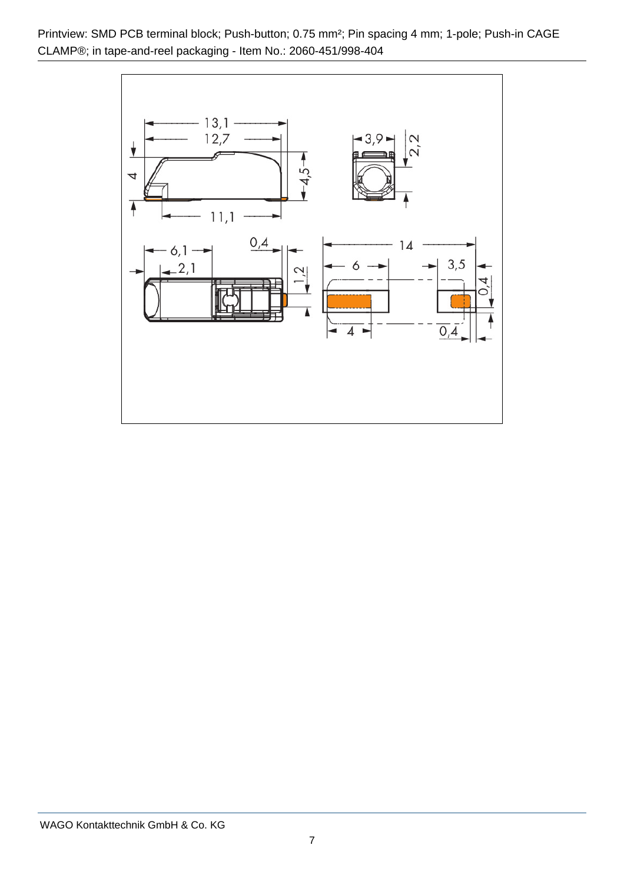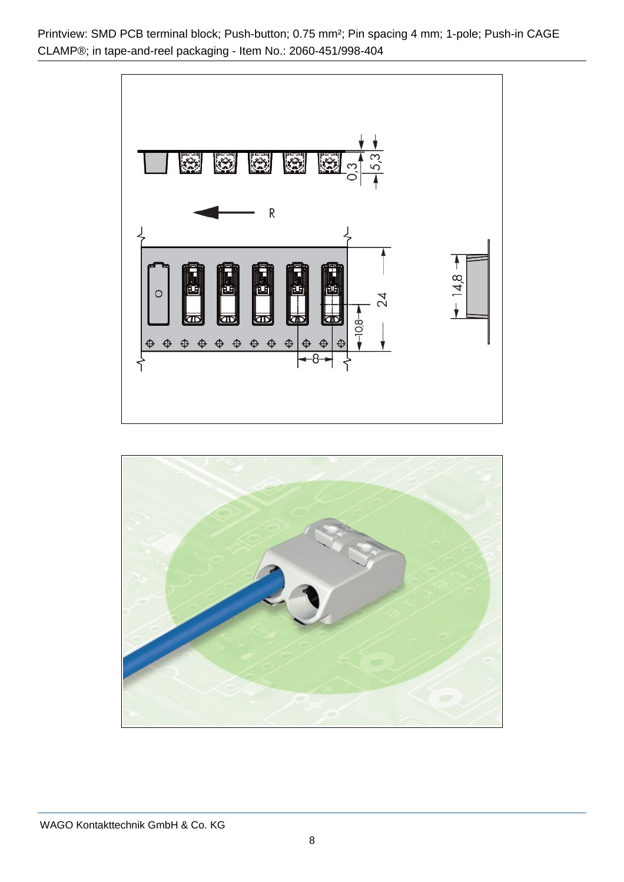

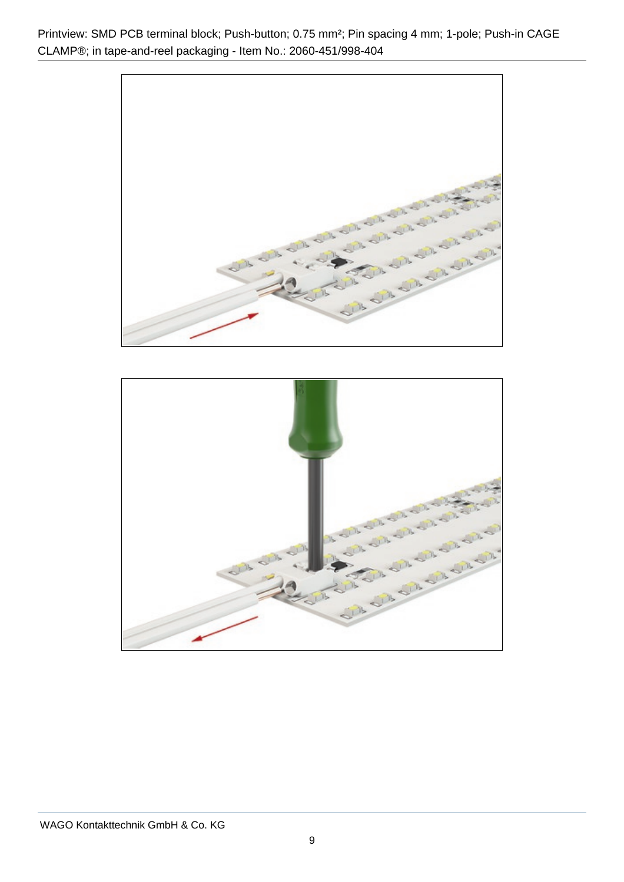